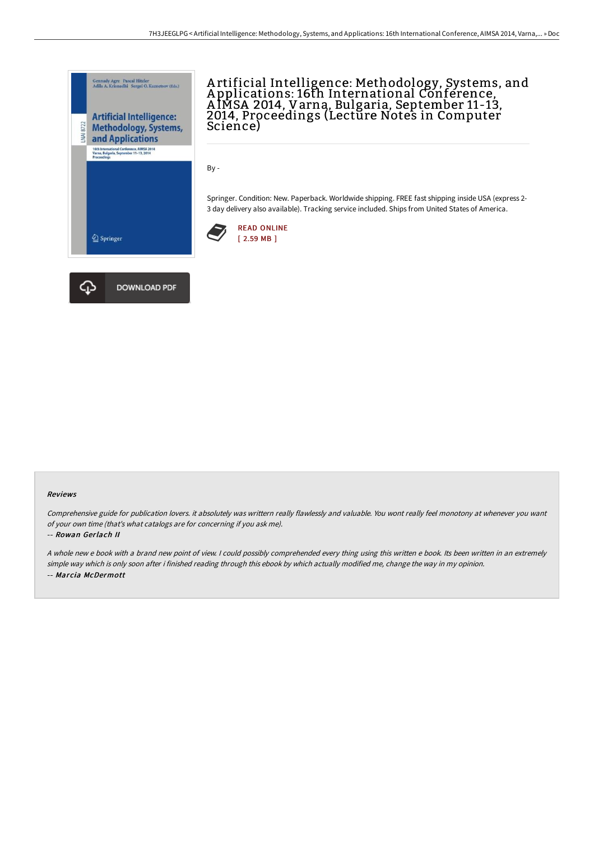

A rtificial Intelligence: Methodology, Systems, and A pplications: 16th International Conference, A IMSA 2014, Varna, Bulgaria, September 11-13, 2014, Proceedings (Lecture Notes in Computer Science)

By -

Springer. Condition: New. Paperback. Worldwide shipping. FREE fast shipping inside USA (express 2- 3 day delivery also available). Tracking service included. Ships from United States of America.





## Reviews

Comprehensive guide for publication lovers. it absolutely was writtern really flawlessly and valuable. You wont really feel monotony at whenever you want of your own time (that's what catalogs are for concerning if you ask me).

## -- Rowan Gerlach II

<sup>A</sup> whole new <sup>e</sup> book with <sup>a</sup> brand new point of view. <sup>I</sup> could possibly comprehended every thing using this written <sup>e</sup> book. Its been written in an extremely simple way which is only soon after i finished reading through this ebook by which actually modified me, change the way in my opinion. -- Marcia McDermott